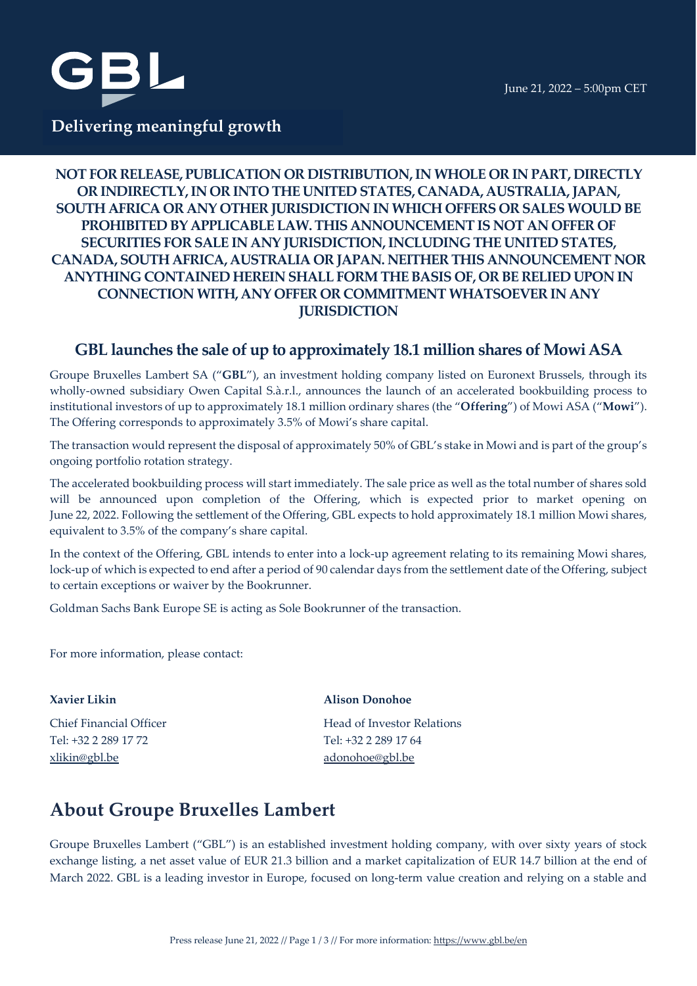



# **Delivering meaningful growth**

## **NOT FOR RELEASE, PUBLICATION OR DISTRIBUTION, IN WHOLE OR IN PART, DIRECTLY OR INDIRECTLY, IN OR INTO THE UNITED STATES, CANADA, AUSTRALIA, JAPAN, SOUTH AFRICA OR ANY OTHER JURISDICTION IN WHICH OFFERS OR SALES WOULD BE PROHIBITED BY APPLICABLE LAW.THIS ANNOUNCEMENT IS NOT AN OFFER OF SECURITIES FOR SALE IN ANY JURISDICTION, INCLUDING THE UNITED STATES, CANADA, SOUTH AFRICA, AUSTRALIA OR JAPAN. NEITHER THIS ANNOUNCEMENT NOR ANYTHING CONTAINED HEREIN SHALL FORM THE BASIS OF, OR BE RELIED UPON IN CONNECTION WITH, ANY OFFER OR COMMITMENT WHATSOEVER IN ANY JURISDICTION**

# **GBL launches the sale of up to approximately 18.1 million shares of MowiASA**

Groupe Bruxelles Lambert SA ("**GBL**"), an investment holding company listed on Euronext Brussels, through its wholly-owned subsidiary Owen Capital S.à.r.l., announces the launch of an accelerated bookbuilding process to institutional investors of up to approximately 18.1 million ordinary shares (the "**Offering**") of Mowi ASA ("**Mowi**"). The Offering corresponds to approximately 3.5% of Mowi's share capital.

The transaction would represent the disposal of approximately 50% of GBL's stake in Mowi and is part of the group's ongoing portfolio rotation strategy.

The accelerated bookbuilding process will start immediately. The sale price as well as the total number of shares sold will be announced upon completion of the Offering, which is expected prior to market opening on June 22, 2022. Following the settlement of the Offering, GBL expects to hold approximately 18.1 million Mowi shares, equivalent to 3.5% of the company's share capital.

In the context of the Offering, GBL intends to enter into a lock-up agreement relating to its remaining Mowi shares, lock-up of which is expected to end after a period of 90 calendar days from the settlement date of the Offering, subject to certain exceptions or waiver by the Bookrunner.

Goldman Sachs Bank Europe SE is acting as Sole Bookrunner of the transaction.

For more information, please contact:

Tel: +32 2 289 17 72 Tel: +32 2 289 17 64 [xlikin@gbl.be](mailto:xlikin@gbl.be) [adonohoe@gbl.be](mailto:adonohoe@gbl.be)

### **Xavier Likin Alison Donohoe**

Chief Financial Officer **Head of Investor Relations** 

# **About Groupe Bruxelles Lambert**

Groupe Bruxelles Lambert ("GBL") is an established investment holding company, with over sixty years of stock exchange listing, a net asset value of EUR 21.3 billion and a market capitalization of EUR 14.7 billion at the end of March 2022. GBL is a leading investor in Europe, focused on long-term value creation and relying on a stable and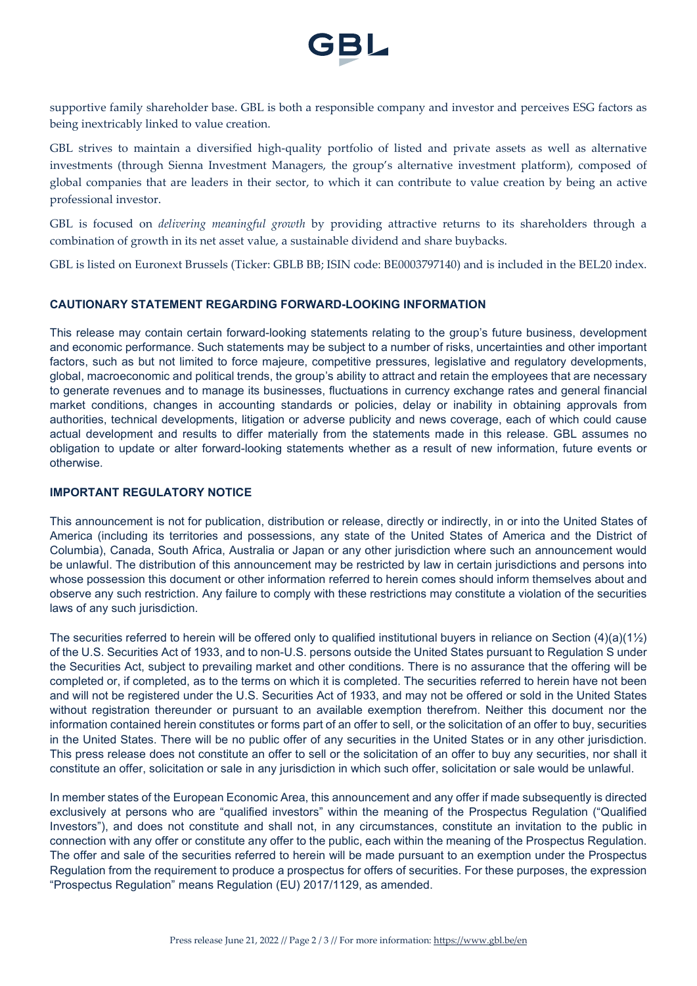

supportive family shareholder base. GBL is both a responsible company and investor and perceives ESG factors as being inextricably linked to value creation.

GBL strives to maintain a diversified high-quality portfolio of listed and private assets as well as alternative investments (through Sienna Investment Managers, the group's alternative investment platform), composed of global companies that are leaders in their sector, to which it can contribute to value creation by being an active professional investor.

GBL is focused on *delivering meaningful growth* by providing attractive returns to its shareholders through a combination of growth in its net asset value, a sustainable dividend and share buybacks.

GBL is listed on Euronext Brussels (Ticker: GBLB BB; ISIN code: BE0003797140) and is included in the BEL20 index.

#### **CAUTIONARY STATEMENT REGARDING FORWARD-LOOKING INFORMATION**

This release may contain certain forward-looking statements relating to the group's future business, development and economic performance. Such statements may be subject to a number of risks, uncertainties and other important factors, such as but not limited to force majeure, competitive pressures, legislative and regulatory developments, global, macroeconomic and political trends, the group's ability to attract and retain the employees that are necessary to generate revenues and to manage its businesses, fluctuations in currency exchange rates and general financial market conditions, changes in accounting standards or policies, delay or inability in obtaining approvals from authorities, technical developments, litigation or adverse publicity and news coverage, each of which could cause actual development and results to differ materially from the statements made in this release. GBL assumes no obligation to update or alter forward-looking statements whether as a result of new information, future events or otherwise.

#### **IMPORTANT REGULATORY NOTICE**

This announcement is not for publication, distribution or release, directly or indirectly, in or into the United States of America (including its territories and possessions, any state of the United States of America and the District of Columbia), Canada, South Africa, Australia or Japan or any other jurisdiction where such an announcement would be unlawful. The distribution of this announcement may be restricted by law in certain jurisdictions and persons into whose possession this document or other information referred to herein comes should inform themselves about and observe any such restriction. Any failure to comply with these restrictions may constitute a violation of the securities laws of any such jurisdiction.

The securities referred to herein will be offered only to qualified institutional buyers in reliance on Section  $(4)(a)(1/2)$ of the U.S. Securities Act of 1933, and to non-U.S. persons outside the United States pursuant to Regulation S under the Securities Act, subject to prevailing market and other conditions. There is no assurance that the offering will be completed or, if completed, as to the terms on which it is completed. The securities referred to herein have not been and will not be registered under the U.S. Securities Act of 1933, and may not be offered or sold in the United States without registration thereunder or pursuant to an available exemption therefrom. Neither this document nor the information contained herein constitutes or forms part of an offer to sell, or the solicitation of an offer to buy, securities in the United States. There will be no public offer of any securities in the United States or in any other jurisdiction. This press release does not constitute an offer to sell or the solicitation of an offer to buy any securities, nor shall it constitute an offer, solicitation or sale in any jurisdiction in which such offer, solicitation or sale would be unlawful.

In member states of the European Economic Area, this announcement and any offer if made subsequently is directed exclusively at persons who are "qualified investors" within the meaning of the Prospectus Regulation ("Qualified Investors"), and does not constitute and shall not, in any circumstances, constitute an invitation to the public in connection with any offer or constitute any offer to the public, each within the meaning of the Prospectus Regulation. The offer and sale of the securities referred to herein will be made pursuant to an exemption under the Prospectus Regulation from the requirement to produce a prospectus for offers of securities. For these purposes, the expression "Prospectus Regulation" means Regulation (EU) 2017/1129, as amended.